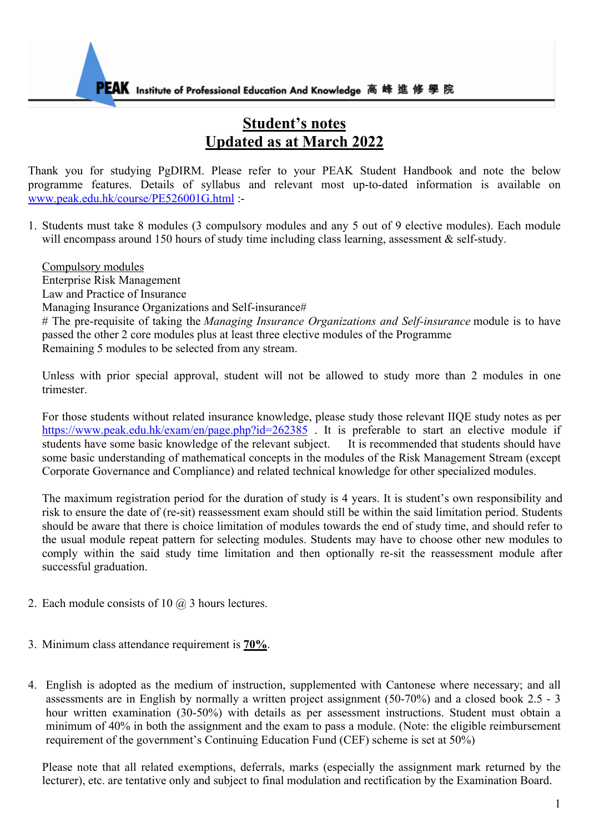# **Student's notes Updated as at March 2022**

Thank you for studying PgDIRM. Please refer to your PEAK Student Handbook and note the below programme features. Details of syllabus and relevant most up-to-dated information is available on [www.peak.edu.hk/course/PE526001G.html](http://www.peak.edu.hk/course/PE526001G.html) :-

1. Students must take 8 modules (3 compulsory modules and any 5 out of 9 elective modules). Each module will encompass around 150 hours of study time including class learning, assessment & self-study.

Compulsory modules Enterprise Risk Management Law and Practice of Insurance Managing Insurance Organizations and Self-insurance# # The pre-requisite of taking the *Managing Insurance Organizations and Self-insurance* module is to have passed the other 2 core modules plus at least three elective modules of the Programme Remaining 5 modules to be selected from any stream.

Unless with prior special approval, student will not be allowed to study more than 2 modules in one trimester.

For those students without related insurance knowledge, please study those relevant IIQE study notes as per <https://www.peak.edu.hk/exam/en/page.php?id=262385> . It is preferable to start an elective module if students have some basic knowledge of the relevant subject. It is recommended that students should have some basic understanding of mathematical concepts in the modules of the Risk Management Stream (except Corporate Governance and Compliance) and related technical knowledge for other specialized modules.

The maximum registration period for the duration of study is 4 years. It is student's own responsibility and risk to ensure the date of (re-sit) reassessment exam should still be within the said limitation period. Students should be aware that there is choice limitation of modules towards the end of study time, and should refer to the usual module repeat pattern for selecting modules. Students may have to choose other new modules to comply within the said study time limitation and then optionally re-sit the reassessment module after successful graduation.

- 2. Each module consists of 10  $\omega$  3 hours lectures.
- 3. Minimum class attendance requirement is **70%**.
- 4. English is adopted as the medium of instruction, supplemented with Cantonese where necessary; and all assessments are in English by normally a written project assignment (50-70%) and a closed book 2.5 - 3 hour written examination (30-50%) with details as per assessment instructions. Student must obtain a minimum of 40% in both the assignment and the exam to pass a module. (Note: the eligible reimbursement requirement of the government's Continuing Education Fund (CEF) scheme is set at 50%)

Please note that all related exemptions, deferrals, marks (especially the assignment mark returned by the lecturer), etc. are tentative only and subject to final modulation and rectification by the Examination Board.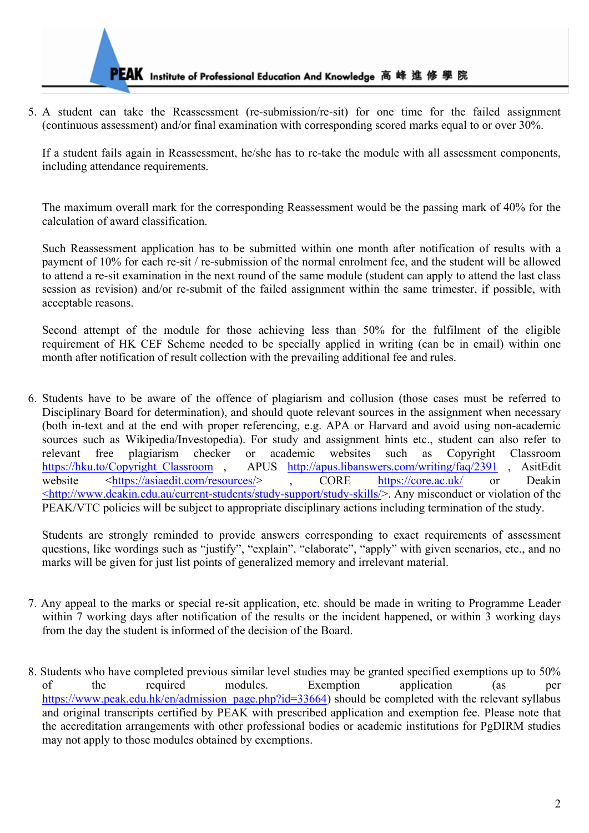

5. A student can take the Reassessment (re-submission/re-sit) for one time for the failed assignment (continuous assessment) and/or final examination with corresponding scored marks equal to or over 30%.

If a student fails again in Reassessment, he/she has to re-take the module with all assessment components, including attendance requirements.

The maximum overall mark for the corresponding Reassessment would be the passing mark of 40% for the calculation of award classification.

Such Reassessment application has to be submitted within one month after notification of results with a payment of 10% for each re-sit / re-submission of the normal enrolment fee, and the student will be allowed to attend a re-sit examination in the next round of the same module (student can apply to attend the last class session as revision) and/or re-submit of the failed assignment within the same trimester, if possible, with acceptable reasons.

Second attempt of the module for those achieving less than 50% for the fulfilment of the eligible requirement of HK CEF Scheme needed to be specially applied in writing (can be in email) within one month after notification of result collection with the prevailing additional fee and rules.

6. Students have to be aware of the offence of plagiarism and collusion (those cases must be referred to Disciplinary Board for determination), and should quote relevant sources in the assignment when necessary (both in-text and at the end with proper referencing, e.g. APA or Harvard and avoid using non-academic sources such as Wikipedia/Investopedia). For study and assignment hints etc., student can also refer to relevant free plagiarism checker or academic websites such as Copyright Classroom [https://hku.to/Copyright\\_Classroom](https://hku.to/Copyright_Classroom) , APUS <http://apus.libanswers.com/writing/faq/2391> , AsitEdit website [<https://asiaedit.com/resources/>](https://asiaedit.com/resources/) , CORE <https://core.ac.uk/> or Deakin <[http://www.deakin.edu.au/current-students/study-support/study-skills/>](http://www.deakin.edu.au/current-students/study-support/study-skills/). Any misconduct or violation of the PEAK/VTC policies will be subject to appropriate disciplinary actions including termination of the study.

Students are strongly reminded to provide answers corresponding to exact requirements of assessment questions, like wordings such as "justify", "explain", "elaborate", "apply" with given scenarios, etc., and no marks will be given for just list points of generalized memory and irrelevant material.

- 7. Any appeal to the marks or special re-sit application, etc. should be made in writing to Programme Leader within 7 working days after notification of the results or the incident happened, or within 3 working days from the day the student is informed of the decision of the Board.
- 8. Students who have completed previous similar level studies may be granted specified exemptions up to 50% of the required modules. Exemption application (as per [https://www.peak.edu.hk/en/admission\\_page.php?id=33664\)](https://www.peak.edu.hk/en/admission_page.php?id=33664) should be completed with the relevant syllabus and original transcripts certified by PEAK with prescribed application and exemption fee. Please note that the accreditation arrangements with other professional bodies or academic institutions for PgDIRM studies may not apply to those modules obtained by exemptions.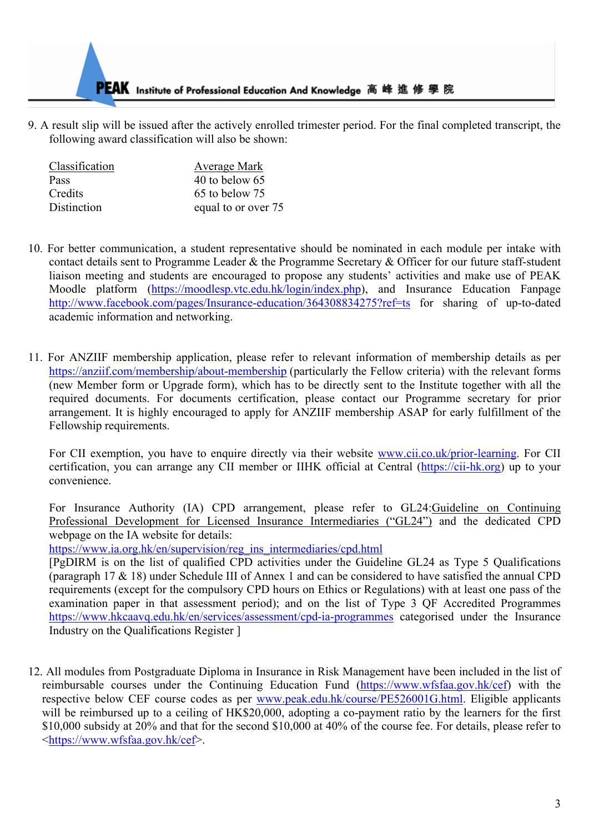9. A result slip will be issued after the actively enrolled trimester period. For the final completed transcript, the following award classification will also be shown:

| Classification | Average Mark        |
|----------------|---------------------|
| <b>Pass</b>    | 40 to below $65$    |
| Credits        | 65 to below 75      |
| Distinction    | equal to or over 75 |

- 10. For better communication, a student representative should be nominated in each module per intake with contact details sent to Programme Leader & the Programme Secretary & Officer for our future staff-student liaison meeting and students are encouraged to propose any students' activities and make use of PEAK Moodle platform [\(https://moodlesp.vtc.edu.hk/login/index.php\)](https://moodlesp.vtc.edu.hk/login/index.php), and Insurance Education Fanpage <http://www.facebook.com/pages/Insurance-education/364308834275?ref=ts> for sharing of up-to-dated academic information and networking.
- 11. For ANZIIF membership application, please refer to relevant information of membership details as per <https://anziif.com/membership/about-membership> (particularly the Fellow criteria) with the relevant forms (new Member form or Upgrade form), which has to be directly sent to the Institute together with all the required documents. For documents certification, please contact our Programme secretary for prior arrangement. It is highly encouraged to apply for ANZIIF membership ASAP for early fulfillment of the Fellowship requirements.

For CII exemption, you have to enquire directly via their website [www.cii.co.uk/prior-learning.](http://www.cii.co.uk/prior-learning) For CII certification, you can arrange any CII member or IIHK official at Central [\(https://cii-hk.org\)](https://cii-hk.org/) up to your convenience.

For Insurance Authority (IA) CPD arrangement, please refer to GL24[:Guideline on Continuing](https://www.ia.org.hk/en/legislative_framework/files/Eng_GL24_CPD.pdf)  [Professional Development for Licensed Insurance Intermediaries \("GL24"\)](https://www.ia.org.hk/en/legislative_framework/files/Eng_GL24_CPD.pdf) and the dedicated CPD webpage on the IA website for details:

[https://www.ia.org.hk/en/supervision/reg\\_ins\\_intermediaries/cpd.html](https://www.ia.org.hk/en/supervision/reg_ins_intermediaries/cpd.html)

[PgDIRM is on the list of qualified CPD activities under the Guideline GL24 as Type 5 Qualifications (paragraph 17 & 18) under Schedule III of Annex 1 and can be considered to have satisfied the annual CPD requirements (except for the compulsory CPD hours on Ethics or Regulations) with at least one pass of the examination paper in that assessment period); and on the list of Type 3 QF Accredited Programmes <https://www.hkcaavq.edu.hk/en/services/assessment/cpd-ia-programmes> categorised under the Insurance Industry on the Qualifications Register ]

12. All modules from Postgraduate Diploma in Insurance in Risk Management have been included in the list of reimbursable courses under the Continuing Education Fund [\(https://www.wfsfaa.gov.hk/cef\)](https://www.wfsfaa.gov.hk/cef) with the respective below CEF course codes as per [www.peak.edu.hk/course/PE526001G.html.](http://www.peak.edu.hk/course/PE526001G.html) Eligible applicants will be reimbursed up to a ceiling of HK\$20,000, adopting a co-payment ratio by the learners for the first \$10,000 subsidy at 20% and that for the second \$10,000 at 40% of the course fee. For details, please refer to [<https://www.wfsfaa.gov.hk/cef>](https://www.wfsfaa.gov.hk/cef).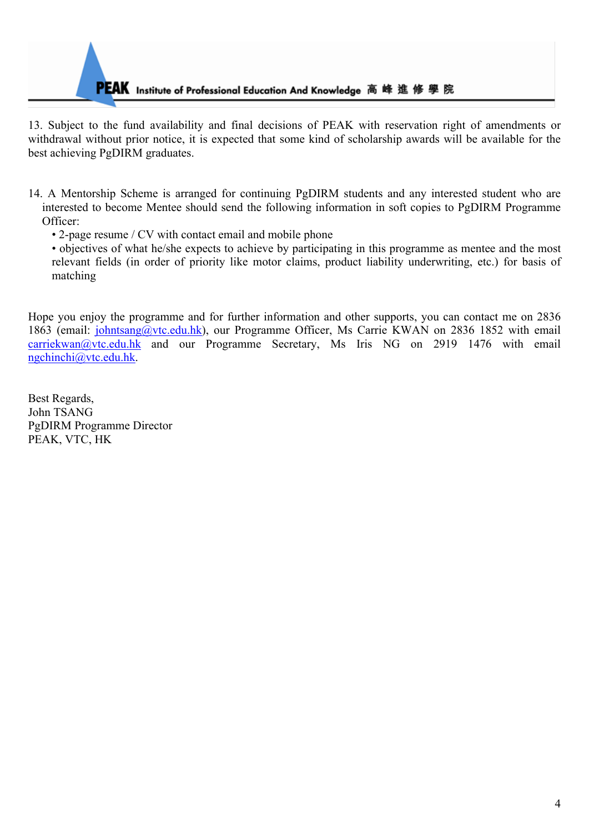## PEAK Institute of Professional Education And Knowledge 高峰進修學院

13. Subject to the fund availability and final decisions of PEAK with reservation right of amendments or withdrawal without prior notice, it is expected that some kind of scholarship awards will be available for the best achieving PgDIRM graduates.

- 14. A Mentorship Scheme is arranged for continuing PgDIRM students and any interested student who are interested to become Mentee should send the following information in soft copies to PgDIRM Programme Officer:
	- 2-page resume / CV with contact email and mobile phone

• objectives of what he/she expects to achieve by participating in this programme as mentee and the most relevant fields (in order of priority like motor claims, product liability underwriting, etc.) for basis of matching

Hope you enjoy the programme and for further information and other supports, you can contact me on 2836 1863 (email: [johntsang@vtc.edu.hk\)](mailto:johntsang@vtc.edu.hk), our Programme Officer, Ms Carrie KWAN on 2836 1852 with email [carriekwan@vtc.edu.hk](mailto:carriekwan@vtc.edu.hk) and our Programme Secretary, Ms Iris NG on 2919 1476 with email [ngchinchi@vtc.edu.hk.](mailto:ngchinchi@vtc.edu.hk)

Best Regards, John TSANG PgDIRM Programme Director PEAK, VTC, HK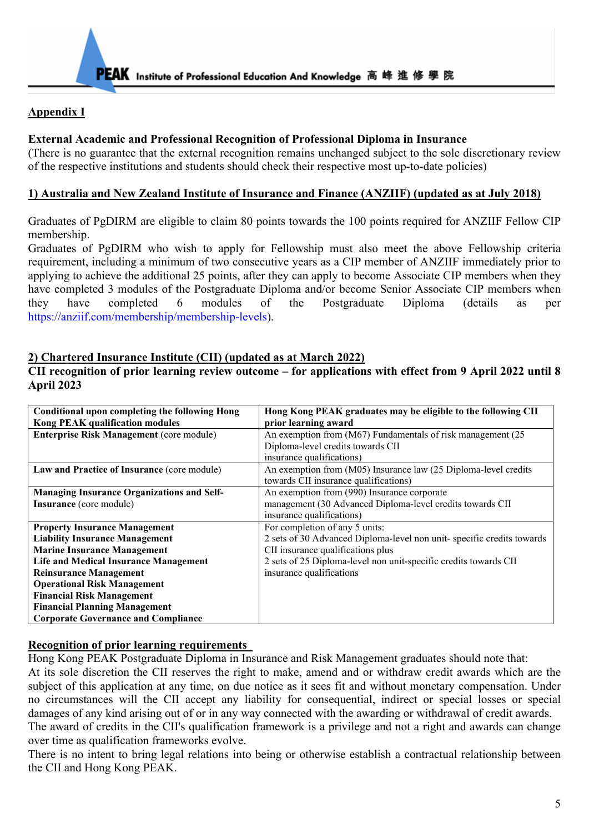### **Appendix I**

#### **External Academic and Professional Recognition of Professional Diploma in Insurance**

(There is no guarantee that the external recognition remains unchanged subject to the sole discretionary review of the respective institutions and students should check their respective most up-to-date policies)

#### **1) Australia and New Zealand Institute of Insurance and Finance (ANZIIF) (updated as at July 2018)**

Graduates of PgDIRM are eligible to claim 80 points towards the 100 points required for ANZIIF Fellow CIP membership.

Graduates of PgDIRM who wish to apply for Fellowship must also meet the above Fellowship criteria requirement, including a minimum of two consecutive years as a CIP member of ANZIIF immediately prior to applying to achieve the additional 25 points, after they can apply to become Associate CIP members when they have completed 3 modules of the Postgraduate Diploma and/or become Senior Associate CIP members when they have completed 6 modules of the Postgraduate Diploma (details as per [https://anziif.com/membership/membership-levels\)](https://anziif.com/membership/membership-levels).

#### **2) Chartered Insurance Institute (CII) (updated as at March 2022)**

**CII recognition of prior learning review outcome – for applications with effect from 9 April 2022 until 8 April 2023**

| <b>Conditional upon completing the following Hong</b> | Hong Kong PEAK graduates may be eligible to the following CII         |
|-------------------------------------------------------|-----------------------------------------------------------------------|
| <b>Kong PEAK qualification modules</b>                | prior learning award                                                  |
| <b>Enterprise Risk Management (core module)</b>       | An exemption from (M67) Fundamentals of risk management (25)          |
|                                                       | Diploma-level credits towards CII                                     |
|                                                       | insurance qualifications)                                             |
| Law and Practice of Insurance (core module)           | An exemption from (M05) Insurance law (25 Diploma-level credits       |
|                                                       | towards CII insurance qualifications)                                 |
| <b>Managing Insurance Organizations and Self-</b>     | An exemption from (990) Insurance corporate                           |
| Insurance (core module)                               | management (30 Advanced Diploma-level credits towards CII             |
|                                                       | insurance qualifications)                                             |
| <b>Property Insurance Management</b>                  | For completion of any 5 units:                                        |
| <b>Liability Insurance Management</b>                 | 2 sets of 30 Advanced Diploma-level non unit-specific credits towards |
| <b>Marine Insurance Management</b>                    | CII insurance qualifications plus                                     |
| <b>Life and Medical Insurance Management</b>          | 2 sets of 25 Diploma-level non unit-specific credits towards CII      |
| <b>Reinsurance Management</b>                         | insurance qualifications                                              |
| <b>Operational Risk Management</b>                    |                                                                       |
| <b>Financial Risk Management</b>                      |                                                                       |
| <b>Financial Planning Management</b>                  |                                                                       |
| <b>Corporate Governance and Compliance</b>            |                                                                       |

#### **Recognition of prior learning requirements**

Hong Kong PEAK Postgraduate Diploma in Insurance and Risk Management graduates should note that: At its sole discretion the CII reserves the right to make, amend and or withdraw credit awards which are the subject of this application at any time, on due notice as it sees fit and without monetary compensation. Under no circumstances will the CII accept any liability for consequential, indirect or special losses or special damages of any kind arising out of or in any way connected with the awarding or withdrawal of credit awards. The award of credits in the CII's qualification framework is a privilege and not a right and awards can change over time as qualification frameworks evolve.

There is no intent to bring legal relations into being or otherwise establish a contractual relationship between the CII and Hong Kong PEAK.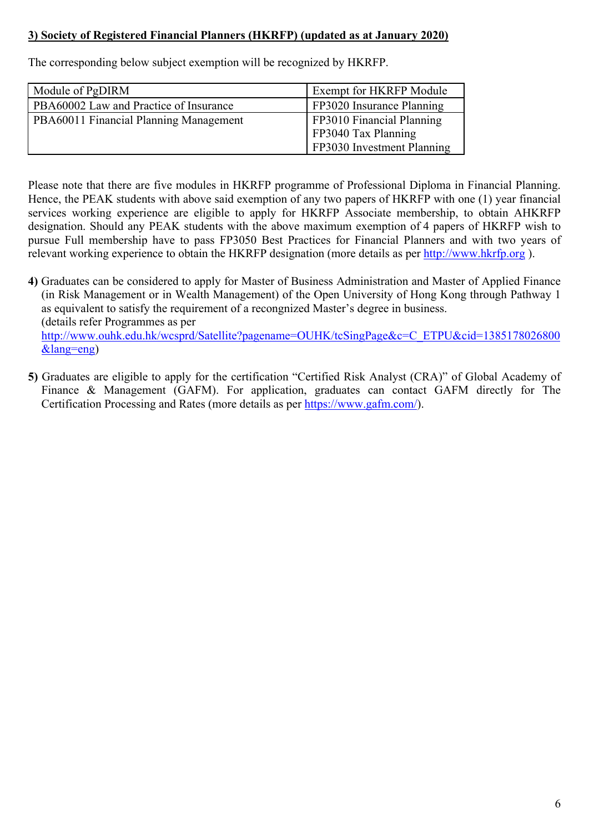#### **3) Society of Registered Financial Planners (HKRFP) (updated as at January 2020)**

The corresponding below subject exemption will be recognized by HKRFP.

| Module of PgDIRM                       | <b>Exempt for HKRFP Module</b>   |
|----------------------------------------|----------------------------------|
| PBA60002 Law and Practice of Insurance | <b>FP3020 Insurance Planning</b> |
| PBA60011 Financial Planning Management | FP3010 Financial Planning        |
|                                        | FP3040 Tax Planning              |
|                                        | FP3030 Investment Planning       |

Please note that there are five modules in HKRFP programme of Professional Diploma in Financial Planning. Hence, the PEAK students with above said exemption of any two papers of HKRFP with one (1) year financial services working experience are eligible to apply for HKRFP Associate membership, to obtain AHKRFP designation. Should any PEAK students with the above maximum exemption of 4 papers of HKRFP wish to pursue Full membership have to pass FP3050 Best Practices for Financial Planners and with two years of relevant working experience to obtain the HKRFP designation (more details as per [http://www.hkrfp.org](http://www.hkrfp.org/) ).

**4)** Graduates can be considered to apply for Master of Business Administration and Master of Applied Finance (in Risk Management or in Wealth Management) of the Open University of Hong Kong through Pathway 1 as equivalent to satisfy the requirement of a recongnized Master's degree in business. (details refer Programmes as per [http://www.ouhk.edu.hk/wcsprd/Satellite?pagename=OUHK/tcSingPage&c=C\\_ETPU&cid=1385178026800](http://www.ouhk.edu.hk/wcsprd/Satellite?pagename=OUHK/tcSingPage&c=C_ETPU&cid=1385178026800&lang=eng) [&lang=eng\)](http://www.ouhk.edu.hk/wcsprd/Satellite?pagename=OUHK/tcSingPage&c=C_ETPU&cid=1385178026800&lang=eng)

**5)** Graduates are eligible to apply for the certification "Certified Risk Analyst (CRA)" of Global Academy of Finance & Management (GAFM). For application, graduates can contact GAFM directly for The Certification Processing and Rates (more details as per [https://www.gafm.com/\)](https://www.gafm.com/).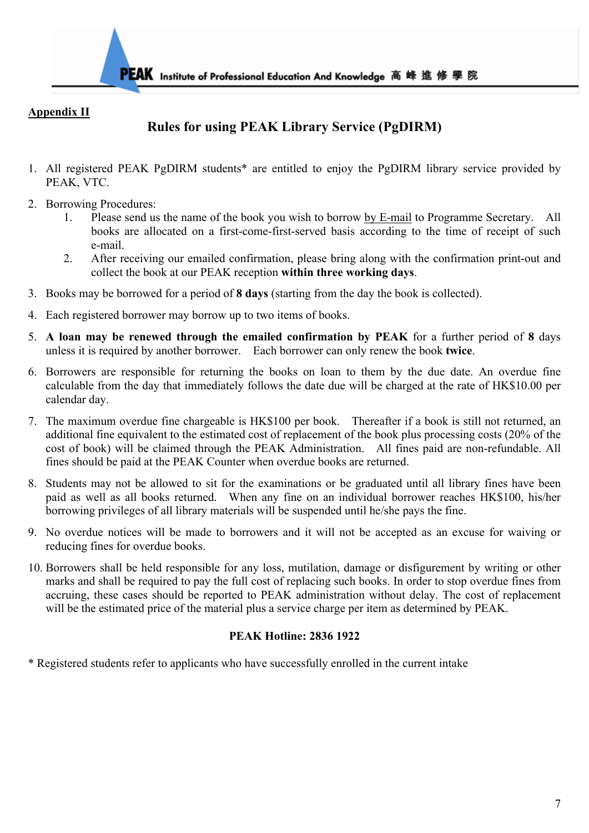

## **Appendix II**

## **Rules for using PEAK Library Service (PgDIRM)**

- 1. All registered PEAK PgDIRM students\* are entitled to enjoy the PgDIRM library service provided by PEAK, VTC.
- 2. Borrowing Procedures:
	- 1. Please send us the name of the book you wish to borrow by E-mail to Programme Secretary. All books are allocated on a first-come-first-served basis according to the time of receipt of such e-mail.
	- 2. After receiving our emailed confirmation, please bring along with the confirmation print-out and collect the book at our PEAK reception **within three working days**.
- 3. Books may be borrowed for a period of **8 days** (starting from the day the book is collected).
- 4. Each registered borrower may borrow up to two items of books.
- 5. **A loan may be renewed through the emailed confirmation by PEAK** for a further period of **8** days unless it is required by another borrower. Each borrower can only renew the book **twice**.
- 6. Borrowers are responsible for returning the books on loan to them by the due date. An overdue fine calculable from the day that immediately follows the date due will be charged at the rate of HK\$10.00 per calendar day.
- 7. The maximum overdue fine chargeable is HK\$100 per book. Thereafter if a book is still not returned, an additional fine equivalent to the estimated cost of replacement of the book plus processing costs (20% of the cost of book) will be claimed through the PEAK Administration. All fines paid are non-refundable. All fines should be paid at the PEAK Counter when overdue books are returned.
- 8. Students may not be allowed to sit for the examinations or be graduated until all library fines have been paid as well as all books returned. When any fine on an individual borrower reaches HK\$100, his/her borrowing privileges of all library materials will be suspended until he/she pays the fine.
- 9. No overdue notices will be made to borrowers and it will not be accepted as an excuse for waiving or reducing fines for overdue books.
- 10. Borrowers shall be held responsible for any loss, mutilation, damage or disfigurement by writing or other marks and shall be required to pay the full cost of replacing such books. In order to stop overdue fines from accruing, these cases should be reported to PEAK administration without delay. The cost of replacement will be the estimated price of the material plus a service charge per item as determined by PEAK.

#### **PEAK Hotline: 2836 1922**

\* Registered students refer to applicants who have successfully enrolled in the current intake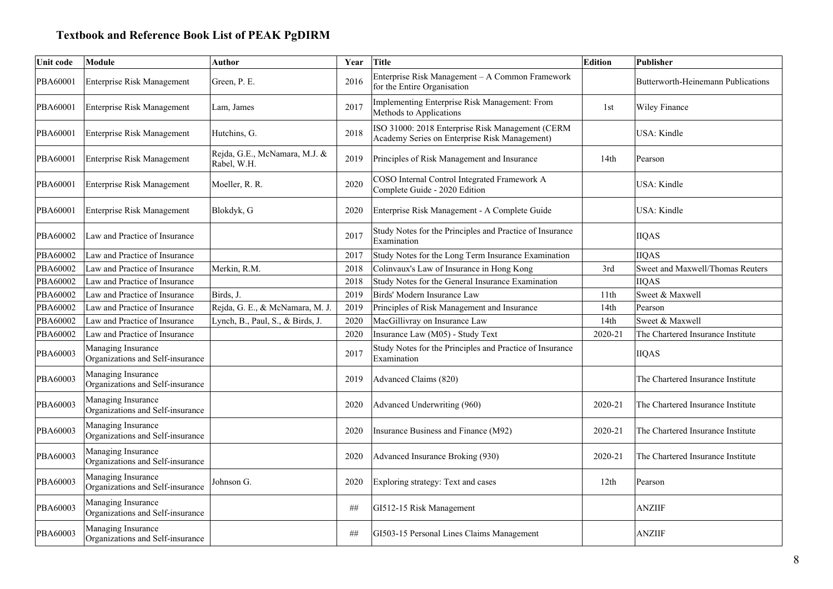# **Textbook and Reference Book List of PEAK PgDIRM**

| Unit code | <b>Module</b>                                          | Author                                       | Year    | <b>Title</b>                                                                                      | Edition | <b>Publisher</b>                   |
|-----------|--------------------------------------------------------|----------------------------------------------|---------|---------------------------------------------------------------------------------------------------|---------|------------------------------------|
| PBA60001  | Enterprise Risk Management                             | Green, P. E.                                 | 2016    | Enterprise Risk Management - A Common Framework<br>for the Entire Organisation                    |         | Butterworth-Heinemann Publications |
| PBA60001  | <b>Enterprise Risk Management</b>                      | Lam, James                                   | 2017    | Implementing Enterprise Risk Management: From<br>Methods to Applications                          | 1st     | Wiley Finance                      |
| PBA60001  | Enterprise Risk Management                             | Hutchins, G.                                 | 2018    | ISO 31000: 2018 Enterprise Risk Management (CERM<br>Academy Series on Enterprise Risk Management) |         | USA: Kindle                        |
| PBA60001  | Enterprise Risk Management                             | Rejda, G.E., McNamara, M.J. &<br>Rabel, W.H. | 2019    | Principles of Risk Management and Insurance                                                       | 14th    | Pearson                            |
| PBA60001  | <b>Enterprise Risk Management</b>                      | Moeller, R. R.                               | 2020    | COSO Internal Control Integrated Framework A<br>Complete Guide - 2020 Edition                     |         | USA: Kindle                        |
| PBA60001  | Enterprise Risk Management                             | Blokdyk, G                                   | 2020    | Enterprise Risk Management - A Complete Guide                                                     |         | USA: Kindle                        |
| PBA60002  | Law and Practice of Insurance                          |                                              | 2017    | Study Notes for the Principles and Practice of Insurance<br>Examination                           |         | <b>IIQAS</b>                       |
| PBA60002  | Law and Practice of Insurance                          |                                              | 2017    | Study Notes for the Long Term Insurance Examination                                               |         | <b>IIQAS</b>                       |
| PBA60002  | Law and Practice of Insurance                          | Merkin, R.M.                                 | 2018    | Colinvaux's Law of Insurance in Hong Kong                                                         | 3rd     | Sweet and Maxwell/Thomas Reuters   |
| PBA60002  | Law and Practice of Insurance                          |                                              | 2018    | Study Notes for the General Insurance Examination                                                 |         | <b>IIQAS</b>                       |
| PBA60002  | Law and Practice of Insurance                          | Birds, J.                                    | 2019    | Birds' Modern Insurance Law                                                                       | 11th    | Sweet & Maxwell                    |
| PBA60002  | Law and Practice of Insurance                          | Rejda, G. E., & McNamara, M. J.              | 2019    | Principles of Risk Management and Insurance                                                       | 14th    | Pearson                            |
| PBA60002  | Law and Practice of Insurance                          | Lynch, B., Paul, S., & Birds, J.             | 2020    | MacGillivray on Insurance Law                                                                     | 14th    | Sweet & Maxwell                    |
| PBA60002  | Law and Practice of Insurance                          |                                              | 2020    | Insurance Law (M05) - Study Text                                                                  | 2020-21 | The Chartered Insurance Institute  |
| PBA60003  | Managing Insurance<br>Organizations and Self-insurance |                                              | 2017    | Study Notes for the Principles and Practice of Insurance<br>Examination                           |         | <b>IIQAS</b>                       |
| PBA60003  | Managing Insurance<br>Organizations and Self-insurance |                                              | 2019    | Advanced Claims (820)                                                                             |         | The Chartered Insurance Institute  |
| PBA60003  | Managing Insurance<br>Organizations and Self-insurance |                                              | 2020    | Advanced Underwriting (960)                                                                       | 2020-21 | The Chartered Insurance Institute  |
| PBA60003  | Managing Insurance<br>Organizations and Self-insurance |                                              | 2020    | Insurance Business and Finance (M92)                                                              | 2020-21 | The Chartered Insurance Institute  |
| PBA60003  | Managing Insurance<br>Organizations and Self-insurance |                                              | 2020    | Advanced Insurance Broking (930)                                                                  | 2020-21 | The Chartered Insurance Institute  |
| PBA60003  | Managing Insurance<br>Organizations and Self-insurance | Johnson G.                                   | 2020    | Exploring strategy: Text and cases                                                                | 12th    | Pearson                            |
| PBA60003  | Managing Insurance<br>Organizations and Self-insurance |                                              | $\# \#$ | GI512-15 Risk Management                                                                          |         | <b>ANZIIF</b>                      |
| PBA60003  | Managing Insurance<br>Organizations and Self-insurance |                                              | ##      | GI503-15 Personal Lines Claims Management                                                         |         | <b>ANZIIF</b>                      |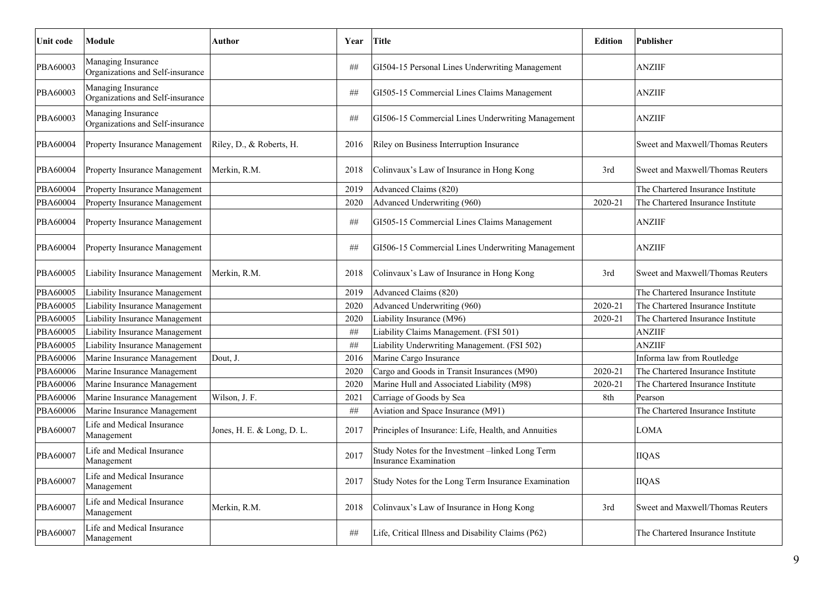| Unit code | <b>Module</b>                                          | Author                     | Year    | <b>Title</b>                                                                    | <b>Edition</b> | <b>Publisher</b>                  |
|-----------|--------------------------------------------------------|----------------------------|---------|---------------------------------------------------------------------------------|----------------|-----------------------------------|
| PBA60003  | Managing Insurance<br>Organizations and Self-insurance |                            | ##      | GI504-15 Personal Lines Underwriting Management                                 |                | <b>ANZIIF</b>                     |
| PBA60003  | Managing Insurance<br>Organizations and Self-insurance |                            | ##      | GI505-15 Commercial Lines Claims Management                                     |                | <b>ANZIIF</b>                     |
| PBA60003  | Managing Insurance<br>Organizations and Self-insurance |                            | $\# \#$ | GI506-15 Commercial Lines Underwriting Management                               |                | <b>ANZIIF</b>                     |
| PBA60004  | Property Insurance Management                          | Riley, D., & Roberts, H.   | 2016    | Riley on Business Interruption Insurance                                        |                | Sweet and Maxwell/Thomas Reuters  |
| PBA60004  | Property Insurance Management                          | Merkin, R.M.               | 2018    | Colinvaux's Law of Insurance in Hong Kong                                       | 3rd            | Sweet and Maxwell/Thomas Reuters  |
| PBA60004  | Property Insurance Management                          |                            | 2019    | Advanced Claims (820)                                                           |                | The Chartered Insurance Institute |
| PBA60004  | Property Insurance Management                          |                            | 2020    | Advanced Underwriting (960)                                                     | 2020-21        | The Chartered Insurance Institute |
| PBA60004  | Property Insurance Management                          |                            | ##      | GI505-15 Commercial Lines Claims Management                                     |                | <b>ANZIIF</b>                     |
| PBA60004  | Property Insurance Management                          |                            | $\# \#$ | GI506-15 Commercial Lines Underwriting Management                               |                | <b>ANZIIF</b>                     |
| PBA60005  | Liability Insurance Management                         | Merkin, R.M.               | 2018    | Colinvaux's Law of Insurance in Hong Kong                                       | 3rd            | Sweet and Maxwell/Thomas Reuters  |
| PBA60005  | Liability Insurance Management                         |                            | 2019    | Advanced Claims (820)                                                           |                | The Chartered Insurance Institute |
| PBA60005  | Liability Insurance Management                         |                            | 2020    | Advanced Underwriting (960)                                                     | 2020-21        | The Chartered Insurance Institute |
| PBA60005  | Liability Insurance Management                         |                            | 2020    | Liability Insurance (M96)                                                       | 2020-21        | The Chartered Insurance Institute |
| PBA60005  | Liability Insurance Management                         |                            | $\# \#$ | Liability Claims Management. (FSI 501)                                          |                | <b>ANZIIF</b>                     |
| PBA60005  | Liability Insurance Management                         |                            | $\# \#$ | Liability Underwriting Management. (FSI 502)                                    |                | <b>ANZIIF</b>                     |
| PBA60006  | Marine Insurance Management                            | Dout, J.                   | 2016    | Marine Cargo Insurance                                                          |                | Informa law from Routledge        |
| PBA60006  | Marine Insurance Management                            |                            | 2020    | Cargo and Goods in Transit Insurances (M90)                                     | 2020-21        | The Chartered Insurance Institute |
| PBA60006  | Marine Insurance Management                            |                            | 2020    | Marine Hull and Associated Liability (M98)                                      | 2020-21        | The Chartered Insurance Institute |
| PBA60006  | Marine Insurance Management                            | Wilson, J. F.              | 2021    | Carriage of Goods by Sea                                                        | 8th            | Pearson                           |
| PBA60006  | Marine Insurance Management                            |                            | $\# \#$ | Aviation and Space Insurance (M91)                                              |                | The Chartered Insurance Institute |
| PBA60007  | Life and Medical Insurance<br>Management               | Jones, H. E. & Long, D. L. | 2017    | Principles of Insurance: Life, Health, and Annuities                            |                | <b>LOMA</b>                       |
| PBA60007  | Life and Medical Insurance<br>Management               |                            | 2017    | Study Notes for the Investment-linked Long Term<br><b>Insurance Examination</b> |                | <b>IIQAS</b>                      |
| PBA60007  | Life and Medical Insurance<br>Management               |                            | 2017    | Study Notes for the Long Term Insurance Examination                             |                | <b>IIQAS</b>                      |
| PBA60007  | Life and Medical Insurance<br>Management               | Merkin, R.M.               | 2018    | Colinvaux's Law of Insurance in Hong Kong                                       | 3rd            | Sweet and Maxwell/Thomas Reuters  |
| PBA60007  | Life and Medical Insurance<br>Management               |                            | ##      | Life, Critical Illness and Disability Claims (P62)                              |                | The Chartered Insurance Institute |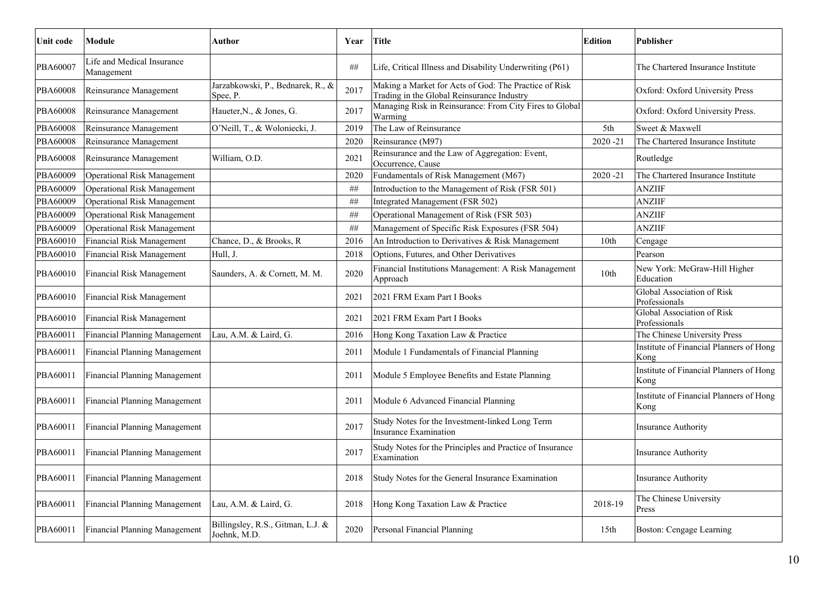| Unit code | Module                                   | Author                                            | Year    | <b>Title</b>                                                                                        | <b>Edition</b>   | <b>Publisher</b>                                |
|-----------|------------------------------------------|---------------------------------------------------|---------|-----------------------------------------------------------------------------------------------------|------------------|-------------------------------------------------|
| PBA60007  | Life and Medical Insurance<br>Management |                                                   | $\# \#$ | Life, Critical Illness and Disability Underwriting (P61)                                            |                  | The Chartered Insurance Institute               |
| PBA60008  | Reinsurance Management                   | Jarzabkowski, P., Bednarek, R., &<br>Spee, P.     | 2017    | Making a Market for Acts of God: The Practice of Risk<br>Trading in the Global Reinsurance Industry |                  | Oxford: Oxford University Press                 |
| PBA60008  | Reinsurance Management                   | Haueter, N., & Jones, G.                          | 2017    | Managing Risk in Reinsurance: From City Fires to Global<br>Warming                                  |                  | Oxford: Oxford University Press.                |
| PBA60008  | Reinsurance Management                   | O'Neill, T., & Woloniecki, J.                     | 2019    | The Law of Reinsurance                                                                              | 5th              | Sweet & Maxwell                                 |
| PBA60008  | Reinsurance Management                   |                                                   | 2020    | Reinsurance (M97)                                                                                   | $2020 - 21$      | The Chartered Insurance Institute               |
| PBA60008  | Reinsurance Management                   | William, O.D.                                     | 2021    | Reinsurance and the Law of Aggregation: Event,<br>Occurrence, Cause                                 |                  | Routledge                                       |
| PBA60009  | <b>Operational Risk Management</b>       |                                                   | 2020    | Fundamentals of Risk Management (M67)                                                               | $2020 - 21$      | The Chartered Insurance Institute               |
| PBA60009  | <b>Operational Risk Management</b>       |                                                   | ##      | Introduction to the Management of Risk (FSR 501)                                                    |                  | ANZIIF                                          |
| PBA60009  | <b>Operational Risk Management</b>       |                                                   | ##      | Integrated Management (FSR 502)                                                                     |                  | <b>ANZIIF</b>                                   |
| PBA60009  | <b>Operational Risk Management</b>       |                                                   | ##      | Operational Management of Risk (FSR 503)                                                            |                  | ANZIIF                                          |
| PBA60009  | Operational Risk Management              |                                                   | $\# \#$ | Management of Specific Risk Exposures (FSR 504)                                                     |                  | ANZIIF                                          |
| PBA60010  | Financial Risk Management                | Chance, D., & Brooks, R                           | 2016    | An Introduction to Derivatives & Risk Management                                                    | 10th             | Cengage                                         |
| PBA60010  | Financial Risk Management                | Hull, J.                                          | 2018    | Options, Futures, and Other Derivatives                                                             |                  | Pearson                                         |
| PBA60010  | Financial Risk Management                | Saunders, A. & Cornett, M. M.                     | 2020    | Financial Institutions Management: A Risk Management<br>Approach                                    | 10th             | New York: McGraw-Hill Higher<br>Education       |
| PBA60010  | Financial Risk Management                |                                                   | 2021    | 2021 FRM Exam Part I Books                                                                          |                  | Global Association of Risk<br>Professionals     |
| PBA60010  | Financial Risk Management                |                                                   | 2021    | 2021 FRM Exam Part I Books                                                                          |                  | Global Association of Risk<br>Professionals     |
| PBA60011  | Financial Planning Management            | Lau, A.M. & Laird, G.                             | 2016    | Hong Kong Taxation Law & Practice                                                                   |                  | The Chinese University Press                    |
| PBA60011  | Financial Planning Management            |                                                   | 2011    | Module 1 Fundamentals of Financial Planning                                                         |                  | Institute of Financial Planners of Hong<br>Kong |
| PBA60011  | Financial Planning Management            |                                                   | 2011    | Module 5 Employee Benefits and Estate Planning                                                      |                  | Institute of Financial Planners of Hong<br>Kong |
| PBA60011  | Financial Planning Management            |                                                   | 2011    | Module 6 Advanced Financial Planning                                                                |                  | Institute of Financial Planners of Hong<br>Kong |
| PBA60011  | Financial Planning Management            |                                                   | 2017    | Study Notes for the Investment-linked Long Term<br><b>Insurance Examination</b>                     |                  | Insurance Authority                             |
| PBA60011  | Financial Planning Management            |                                                   | 2017    | Study Notes for the Principles and Practice of Insurance<br>Examination                             |                  | <b>Insurance Authority</b>                      |
| PBA60011  | Financial Planning Management            |                                                   | 2018    | Study Notes for the General Insurance Examination                                                   |                  | Insurance Authority                             |
| PBA60011  | Financial Planning Management            | Lau, A.M. & Laird, G.                             | 2018    | Hong Kong Taxation Law & Practice                                                                   | 2018-19          | The Chinese University<br>Press                 |
| PBA60011  | Financial Planning Management            | Billingsley, R.S., Gitman, L.J. &<br>Joehnk, M.D. | 2020    | Personal Financial Planning                                                                         | 15 <sub>th</sub> | Boston: Cengage Learning                        |